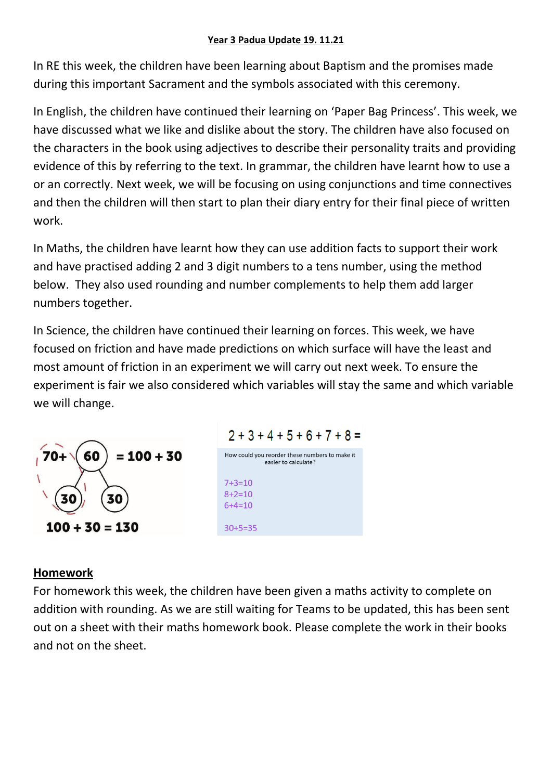## **Year 3 Padua Update 19. 11.21**

In RE this week, the children have been learning about Baptism and the promises made during this important Sacrament and the symbols associated with this ceremony.

In English, the children have continued their learning on 'Paper Bag Princess'. This week, we have discussed what we like and dislike about the story. The children have also focused on the characters in the book using adjectives to describe their personality traits and providing evidence of this by referring to the text. In grammar, the children have learnt how to use a or an correctly. Next week, we will be focusing on using conjunctions and time connectives and then the children will then start to plan their diary entry for their final piece of written work.

In Maths, the children have learnt how they can use addition facts to support their work and have practised adding 2 and 3 digit numbers to a tens number, using the method below. They also used rounding and number complements to help them add larger numbers together.

In Science, the children have continued their learning on forces. This week, we have focused on friction and have made predictions on which surface will have the least and most amount of friction in an experiment we will carry out next week. To ensure the experiment is fair we also considered which variables will stay the same and which variable we will change.





## **Homework**

For homework this week, the children have been given a maths activity to complete on addition with rounding. As we are still waiting for Teams to be updated, this has been sent out on a sheet with their maths homework book. Please complete the work in their books and not on the sheet.